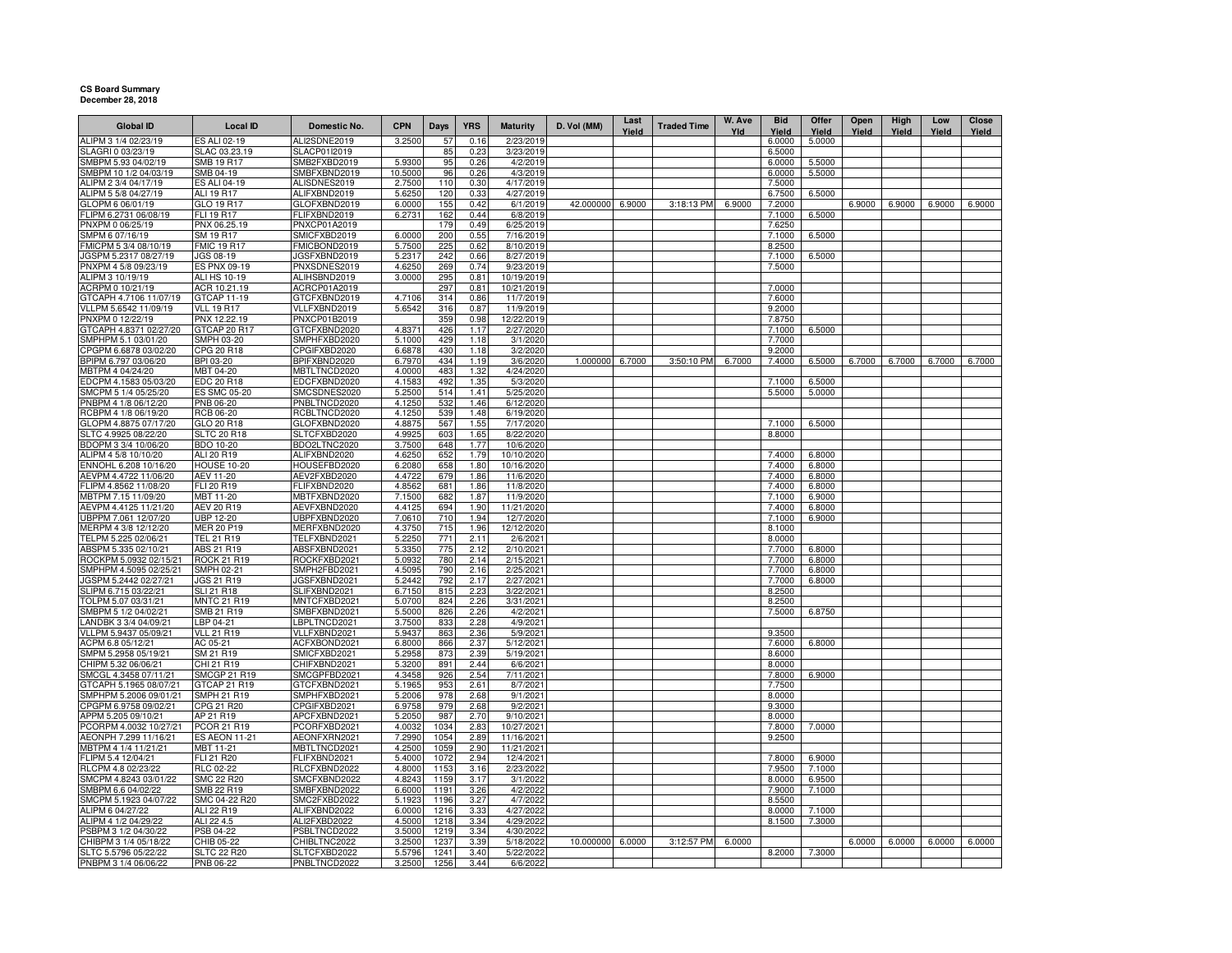## **CS Board Summary December 28, 2018**

| <b>Global ID</b>                                 | <b>Local ID</b>                         | Domestic No.                 | <b>CPN</b>       | <b>Days</b>  | <b>YRS</b>   | <b>Maturity</b>          | D. Vol (MM)      | Last<br>Yield | <b>Traded Time</b> | W. Ave<br>Yld | <b>Bid</b><br>Yield | Offer<br>Yield   | Open<br>Yield | High<br>Yield | Low<br>Yield | Close<br>Yield |
|--------------------------------------------------|-----------------------------------------|------------------------------|------------------|--------------|--------------|--------------------------|------------------|---------------|--------------------|---------------|---------------------|------------------|---------------|---------------|--------------|----------------|
| ALIPM 3 1/4 02/23/19                             | ES ALI 02-19                            | ALI2SDNE2019                 | 3.2500           | 57           | 0.16         | 2/23/2019                |                  |               |                    |               | 6.0000              | 5.0000           |               |               |              |                |
| SLAGRI 0 03/23/19                                | SLAC 03.23.19                           | SLACP01I2019                 |                  | 85           | 0.23         | 3/23/2019                |                  |               |                    |               | 6.5000              |                  |               |               |              |                |
| SMBPM 5.93 04/02/19                              | <b>SMB 19 R17</b>                       | SMB2FXBD2019                 | 5.9300           | 95           | 0.26         | 4/2/2019                 |                  |               |                    |               | 6.0000              | 5.5000           |               |               |              |                |
| SMBPM 10 1/2 04/03/19                            | SMB 04-19                               | SMBFXBND2019                 | 10,5000          | 96           | 0.26         | 4/3/2019                 |                  |               |                    |               | 6.0000              | 5.5000           |               |               |              |                |
| ALIPM 2 3/4 04/17/19                             | ES ALI 04-19                            | ALISDNES2019                 | 2.7500           | 110          | 0.30         | 4/17/2019                |                  |               |                    |               | 7.5000              |                  |               |               |              |                |
| ALIPM 5 5/8 04/27/19<br>GLOPM 6 06/01/19         | <b>ALI 19 R17</b><br>GLO 19 R17         | ALIFXBND2019<br>GLOFXBND2019 | 5.6250<br>6.0000 | 120<br>155   | 0.33<br>0.42 | 4/27/2019<br>6/1/2019    | 42.000000        | 6.9000        | 3:18:13 PM         | 6.9000        | 6.7500<br>7.2000    | 6.5000           | 6.9000        | 6.9000        | 6.9000       | 6.9000         |
| FLIPM 6.2731 06/08/19                            | FLI 19 R17                              | FLIFXBND2019                 | 6.2731           | 162          | 0.44         | 6/8/2019                 |                  |               |                    |               | 7.1000              | 6.5000           |               |               |              |                |
| PNXPM 0 06/25/19                                 | PNX 06.25.19                            | PNXCP01A2019                 |                  | 179          | 0.49         | 6/25/2019                |                  |               |                    |               | 7.6250              |                  |               |               |              |                |
| SMPM 6 07/16/19                                  | SM 19 R17                               | SMICFXBD2019                 | 6.0000           | 200          | 0.55         | 7/16/2019                |                  |               |                    |               | 7.1000              | 6.5000           |               |               |              |                |
| FMICPM 5 3/4 08/10/19                            | <b>FMIC 19 R17</b>                      | FMICBOND2019                 | 5.7500           | 225          | 0.62         | 8/10/2019                |                  |               |                    |               | 8.2500              |                  |               |               |              |                |
| JGSPM 5.2317 08/27/19                            | JGS 08-19                               | JGSFXBND2019                 | 5.2317           | 242          | 0.66         | 8/27/2019                |                  |               |                    |               | 7.1000              | 6.5000           |               |               |              |                |
| PNXPM 4 5/8 09/23/19                             | <b>ES PNX 09-19</b>                     | PNXSDNES2019                 | 4.6250           | 269          | 0.74         | 9/23/2019                |                  |               |                    |               | 7.5000              |                  |               |               |              |                |
| ALIPM 3 10/19/19                                 | ALI HS 10-19                            | ALIHSBND2019                 | 3.0000           | 295          | 0.81         | 10/19/2019               |                  |               |                    |               |                     |                  |               |               |              |                |
| ACRPM 0 10/21/19                                 | ACR 10.21.19                            | ACRCP01A2019                 |                  | 297          | 0.81         | 10/21/2019               |                  |               |                    |               | 7.0000              |                  |               |               |              |                |
| GTCAPH 4.7106 11/07/19                           | GTCAP 11-19                             | GTCFXBND2019                 | 4.7106           | 314          | 0.86         | 11/7/2019                |                  |               |                    |               | 7.6000              |                  |               |               |              |                |
| VLLPM 5.6542 11/09/19                            | <b>VLL 19 R17</b>                       | VLLFXBND2019                 | 5.6542           | 316          | 0.87         | 11/9/2019                |                  |               |                    |               | 9.2000              |                  |               |               |              |                |
| PNXPM 0 12/22/19                                 | PNX 12.22.19                            | PNXCP01B2019                 |                  | 359          | 0.98         | 12/22/2019               |                  |               |                    |               | 7.8750              |                  |               |               |              |                |
| GTCAPH 4.8371 02/27/20                           | GTCAP 20 R17                            | GTCFXBND2020                 | 4.8371           | 426          | 1.17         | 2/27/2020                |                  |               |                    |               | 7.1000              | 6.5000           |               |               |              |                |
| SMPHPM 5.1 03/01/20                              | SMPH 03-20                              | SMPHFXBD2020                 | 5.1000           | 429          | 1.18         | 3/1/2020                 |                  |               |                    |               | 7.7000              |                  |               |               |              |                |
| CPGPM 6.6878 03/02/20                            | CPG 20 R18                              | CPGIFXBD2020                 | 6.6878           | 430          | 1.18         | 3/2/2020                 |                  |               |                    |               | 9.2000              |                  |               |               |              |                |
| BPIPM 6.797 03/06/20                             | BPI 03-20                               | BPIFXBND2020                 | 6.7970           | 434          | 1.19         | 3/6/2020                 | 1.000000         | 6.7000        | 3:50:10 PM         | 6.7000        | 7.4000              | 6.5000           | 6.7000        | 6.7000        | 6.7000       | 6.7000         |
| MBTPM 4 04/24/20                                 | MBT 04-20                               | MBTLTNCD2020                 | 4.0000           | 483          | 1.32         | 4/24/2020                |                  |               |                    |               |                     |                  |               |               |              |                |
| EDCPM 4.1583 05/03/20<br>SMCPM 5 1/4 05/25/20    | <b>EDC 20 R18</b>                       | EDCFXBND2020                 | 4.1583           | 492<br>514   | 1.35<br>1.41 | 5/3/2020<br>5/25/2020    |                  |               |                    |               | 7.1000<br>5.5000    | 6.5000<br>5.0000 |               |               |              |                |
| PNBPM 4 1/8 06/12/20                             | <b>ES SMC 05-20</b><br><b>PNB 06-20</b> | SMCSDNES2020<br>PNBLTNCD2020 | 5.2500<br>4.1250 | 532          | 1.46         |                          |                  |               |                    |               |                     |                  |               |               |              |                |
| RCBPM 4 1/8 06/19/20                             | <b>RCB 06-20</b>                        | RCBLTNCD2020                 | 4.1250           | 539          | 1.48         | 6/12/2020<br>6/19/2020   |                  |               |                    |               |                     |                  |               |               |              |                |
| GLOPM 4.8875 07/17/20                            | GLO 20 R18                              | GLOFXBND2020                 | 4.8875           | 567          | 1.55         | 7/17/2020                |                  |               |                    |               | 7.1000              | 6.5000           |               |               |              |                |
| SLTC 4.9925 08/22/20                             | <b>SLTC 20 R18</b>                      | SLTCFXBD2020                 | 4.9925           | 603          | 1.65         | 8/22/2020                |                  |               |                    |               | 8.8000              |                  |               |               |              |                |
| BDOPM 3 3/4 10/06/20                             | BDO 10-20                               | BDO2LTNC2020                 | 3.7500           | 648          | 1.77         | 10/6/2020                |                  |               |                    |               |                     |                  |               |               |              |                |
| ALIPM 4 5/8 10/10/20                             | ALI 20 R19                              | ALIFXBND2020                 | 4.6250           | 652          | 1.79         | 10/10/2020               |                  |               |                    |               | 7,4000              | 6,8000           |               |               |              |                |
| ENNOHL 6.208 10/16/20                            | <b>HOUSE 10-20</b>                      | HOUSEFBD2020                 | 6.2080           | 658          | 1.80         | 10/16/2020               |                  |               |                    |               | 7.4000              | 6.8000           |               |               |              |                |
| AEVPM 4.4722 11/06/20                            | <b>AEV 11-20</b>                        | AEV2FXBD2020                 | 4.4722           | 679          | 1.86         | 11/6/2020                |                  |               |                    |               | 7.4000              | 6.8000           |               |               |              |                |
| FLIPM 4.8562 11/08/20                            | FLI 20 R19                              | FLIFXBND2020                 | 4.8562           | 681          | 1.86         | 11/8/2020                |                  |               |                    |               | 7.4000              | 6.8000           |               |               |              |                |
| MBTPM 7.15 11/09/20                              | MBT 11-20                               | MBTFXBND2020                 | 7.1500           | 682          | 1.87         | 11/9/2020                |                  |               |                    |               | 7.1000              | 6.9000           |               |               |              |                |
| AEVPM 4.4125 11/21/20                            | AEV 20 R19                              | AEVFXBND2020                 | 4.4125           | 694          | 1.90         | 11/21/2020               |                  |               |                    |               | 7.4000              | 6.8000           |               |               |              |                |
| UBPPM 7.061 12/07/20                             | <b>UBP 12-20</b>                        | UBPFXBND2020                 | 7.0610           | 710          | 1.94         | 12/7/2020                |                  |               |                    |               | 7.1000              | 6.9000           |               |               |              |                |
| MERPM 4 3/8 12/12/20                             | <b>MER 20 P19</b>                       | MERFXBND2020                 | 4.3750           | 715          | 1.96         | 12/12/2020               |                  |               |                    |               | 8.1000              |                  |               |               |              |                |
| TELPM 5.225 02/06/21                             | TEL 21 R19                              | TELFXBND2021                 | 5.2250           | 771          | 2.11         | 2/6/2021                 |                  |               |                    |               | 8.0000              |                  |               |               |              |                |
| ABSPM 5.335 02/10/21                             | ABS 21 R19                              | ABSFXBND2021                 | 5.3350           | 775          | 2.12         | 2/10/2021                |                  |               |                    |               | 7.7000              | 6.8000           |               |               |              |                |
| ROCKPM 5.0932 02/15/21<br>SMPHPM 4.5095 02/25/21 | <b>ROCK 21 R19</b><br>SMPH 02-21        | ROCKFXBD2021<br>SMPH2FBD2021 | 5.0932<br>4.5095 | 780<br>790   | 2.14<br>2.16 | 2/15/2021<br>2/25/2021   |                  |               |                    |               | 7.7000<br>7.7000    | 6.8000<br>6.8000 |               |               |              |                |
| JGSPM 5.2442 02/27/21                            | <b>JGS 21 R19</b>                       | JGSFXBND2021                 | 5.2442           | 792          | 2.17         | 2/27/2021                |                  |               |                    |               | 7.7000              | 6.8000           |               |               |              |                |
| SLIPM 6.715 03/22/21                             | <b>SLI 21 R18</b>                       | SLIFXBND2021                 | 6.7150           | 815          | 2.23         | 3/22/2021                |                  |               |                    |               | 8.2500              |                  |               |               |              |                |
| TOLPM 5.07 03/31/21                              | MNTC 21 R19                             | MNTCFXBD2021                 | 5.0700           | 824          | 2.26         | 3/31/2021                |                  |               |                    |               | 8.2500              |                  |               |               |              |                |
| SMBPM 5 1/2 04/02/21                             | SMB 21 R19                              | SMBFXBND2021                 | 5.5000           | 826          | 2.26         | 4/2/202                  |                  |               |                    |               | 7.5000              | 6.8750           |               |               |              |                |
| LANDBK 3 3/4 04/09/21                            | LBP 04-21                               | LBPLTNCD2021                 | 3.7500           | 833          | 2.28         | 4/9/2021                 |                  |               |                    |               |                     |                  |               |               |              |                |
| VLLPM 5.9437 05/09/21                            | <b>VLL 21 R19</b>                       | VLLFXBND2021                 | 5.9437           | 863          | 2.36         | 5/9/2021                 |                  |               |                    |               | 9.3500              |                  |               |               |              |                |
| ACPM 6.8 05/12/21                                | AC 05-21                                | ACFXBOND2021                 | 6.8000           | 866          | 2.37         | 5/12/2021                |                  |               |                    |               | 7.6000              | 6.8000           |               |               |              |                |
| SMPM 5.2958 05/19/21                             | SM 21 R19                               | SMICFXBD2021                 | 5.2958           | 873          | 2.39         | 5/19/2021                |                  |               |                    |               | 8.6000              |                  |               |               |              |                |
| CHIPM 5.32 06/06/21                              | CHI 21 R19                              | CHIFXBND2021                 | 5.3200           | 891          | 2.44         | 6/6/2021                 |                  |               |                    |               | 8.0000              |                  |               |               |              |                |
| SMCGL 4.3458 07/11/21                            | <b>SMCGP 21 R19</b>                     | SMCGPFBD2021                 | 4.3458           | 926          | 2.54         | 7/11/2021                |                  |               |                    |               | 7.8000              | 6.9000           |               |               |              |                |
| GTCAPH 5.1965 08/07/21                           | GTCAP 21 R19                            | GTCFXBND2021                 | 5.1965           | 953          | 2.61         | 8/7/2021                 |                  |               |                    |               | 7.7500              |                  |               |               |              |                |
| SMPHPM 5.2006 09/01/21                           | SMPH 21 R19                             | SMPHFXBD2021                 | 5.2006           | 978          | 2.68         | 9/1/2021                 |                  |               |                    |               | 8.0000              |                  |               |               |              |                |
| CPGPM 6.9758 09/02/21                            | CPG 21 R20                              | CPGIFXBD2021                 | 6.9758           | 979          | 2.68         | 9/2/2021                 |                  |               |                    |               | 9.3000              |                  |               |               |              |                |
| APPM 5.205 09/10/21                              | AP 21 R19                               | APCFXBND2021                 | 5.2050           | 987          | 2.70         | 9/10/2021                |                  |               |                    |               | 8.0000              |                  |               |               |              |                |
| PCORPM 4.0032 10/27/21<br>AEONPH 7.299 11/16/21  | PCOR 21 R19<br><b>ES AEON 11-21</b>     | PCORFXBD2021<br>AEONFXRN2021 | 4.0032<br>7.2990 | 1034<br>1054 | 2.83<br>2.89 | 10/27/2021<br>11/16/2021 |                  |               |                    |               | 7.8000<br>9.2500    | 7.0000           |               |               |              |                |
| MBTPM 4 1/4 11/21/21                             | <b>MBT 11-21</b>                        | MBTLTNCD2021                 | 4.2500           | 1059         | 2.90         | 11/21/2021               |                  |               |                    |               |                     |                  |               |               |              |                |
| FLIPM 5.4 12/04/21                               | FLI 21 R20                              | FLIFXBND2021                 | 5.4000           | 1072         | 2.94         | 12/4/2021                |                  |               |                    |               | 7.8000              | 6.9000           |               |               |              |                |
| RLCPM 4.8 02/23/22                               | <b>RLC 02-22</b>                        | RLCFXBND2022                 | 4.8000           | 1153         | 3.16         | 2/23/2022                |                  |               |                    |               | 7.9500              | 7.1000           |               |               |              |                |
| SMCPM 4.8243 03/01/22                            | <b>SMC 22 R20</b>                       | SMCFXBND2022                 | 4.824            | 1159         | 3.17         | 3/1/2022                 |                  |               |                    |               | 8.0000              | 6.9500           |               |               |              |                |
| SMBPM 6.6 04/02/22                               | SMB 22 R19                              | SMBFXBND2022                 | 6.6000           | 1191         | 3.26         | 4/2/2022                 |                  |               |                    |               | 7.9000              | 7.1000           |               |               |              |                |
| SMCPM 5.1923 04/07/22                            | SMC 04-22 R20                           | SMC2FXBD2022                 | 5.1923           | 1196         | 3.27         | 4/7/2022                 |                  |               |                    |               | 8.5500              |                  |               |               |              |                |
| ALIPM 6 04/27/22                                 | ALI 22 R19                              | ALIFXBND2022                 | 6.0000           | 1216         | 3.33         | 4/27/2022                |                  |               |                    |               | 8.0000              | 7.1000           |               |               |              |                |
| ALIPM 4 1/2 04/29/22                             | ALI 22 4.5                              | ALI2FXBD2022                 | 4.5000           | 1218         | 3.34         | 4/29/2022                |                  |               |                    |               | 8.1500              | 7.3000           |               |               |              |                |
| PSBPM 3 1/2 04/30/22                             | PSB 04-22                               | PSBLTNCD2022                 | 3.5000           | 1219         | 3.34         | 4/30/2022                |                  |               |                    |               |                     |                  |               |               |              |                |
| CHIBPM 3 1/4 05/18/22                            | CHIB 05-22                              | CHIBLTNC2022                 | 3.2500           | 1237         | 3.39         | 5/18/2022                | 10.000000 6.0000 |               | 3:12:57 PM         | 6.0000        |                     |                  | 6.0000        | 6.0000        | 6.0000       | 6.0000         |
| SLTC 5.5796 05/22/22                             | SLTC 22 R20                             | SLTCFXBD2022                 | 5.5796           | 1241         | 3.40         | 5/22/2022                |                  |               |                    |               | 8.2000              | 7.3000           |               |               |              |                |
| PNBPM 3 1/4 06/06/22                             | PNB 06-22                               | PNBLTNCD2022                 | 3.2500           | 1256         | 3.44         | 6/6/2022                 |                  |               |                    |               |                     |                  |               |               |              |                |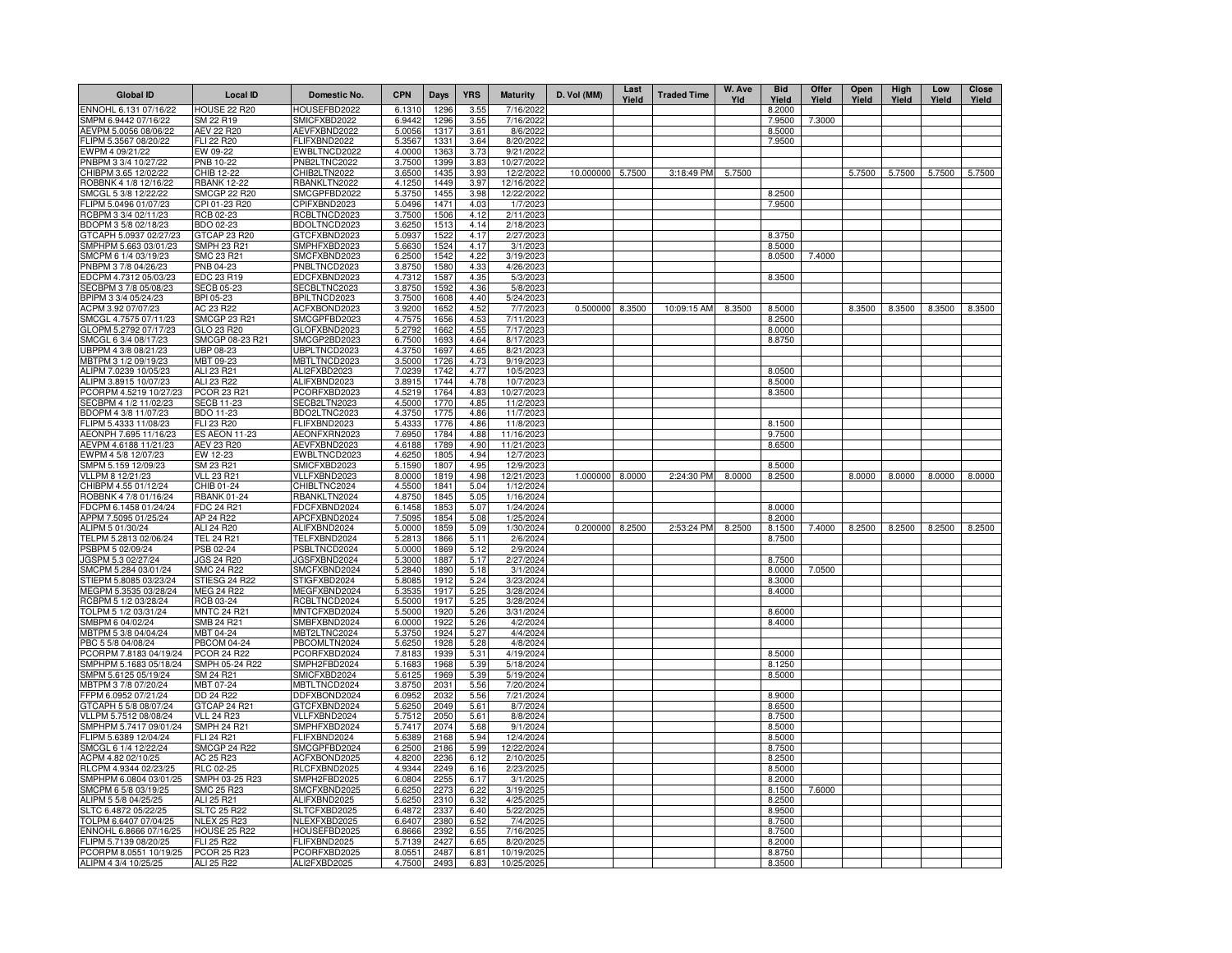| <b>Global ID</b>                                | <b>Local ID</b>                         | Domestic No.                 | <b>CPN</b>       | Days         | <b>YRS</b>   | <b>Maturity</b>         | D. Vol (MM) | Last<br>Yield | <b>Traded Time</b> | W. Ave<br>Yld | <b>Bid</b><br>Yield | <b>Offer</b><br>Yield | Open<br>Yield | High<br>Yield | Low<br>Yield | Close<br>Yield |
|-------------------------------------------------|-----------------------------------------|------------------------------|------------------|--------------|--------------|-------------------------|-------------|---------------|--------------------|---------------|---------------------|-----------------------|---------------|---------------|--------------|----------------|
| NNOHL 6.131 07/16/22                            | <b>HOUSE 22 R20</b>                     | HOUSEFBD2022                 | 6.1310           | 1296         | 3.55         | 7/16/2022               |             |               |                    |               | 8.2000              |                       |               |               |              |                |
| SMPM 6.9442 07/16/22                            | SM 22 R19                               | SMICFXBD2022                 | 6.9442           | 1296         | 3.55         | 7/16/2022               |             |               |                    |               | 7.9500              | 7.3000                |               |               |              |                |
| AEVPM 5.0056 08/06/22                           | <b>AEV 22 R20</b>                       | AEVFXBND2022                 | 5.0056           | 1317         | 3.61         | 8/6/2022                |             |               |                    |               | 8.5000              |                       |               |               |              |                |
| LIPM 5.3567 08/20/22                            | <b>FLI 22 R20</b>                       | FLIFXBND2022                 | 5.3567           | 1331         | 3.64         | 8/20/2022               |             |               |                    |               | 7.9500              |                       |               |               |              |                |
| WPM 4 09/21/22<br>PNBPM 3 3/4 10/27/22          | EW 09-22<br>PNB 10-22                   | EWBLTNCD2022<br>PNB2LTNC2022 | 4.0000<br>3.7500 | 1363<br>1399 | 3.73<br>3.83 | 9/21/2022<br>10/27/202  |             |               |                    |               |                     |                       |               |               |              |                |
| CHIBPM 3.65 12/02/22                            | CHIB 12-22                              | CHIB2LTN2022                 | 3.6500           | 1435         | 3.93         | 12/2/2022               | 10.000000   | 5.7500        | 3:18:49 PM         | 5.7500        |                     |                       | 5.7500        | 5.7500        | 5.7500       | 5.7500         |
| ROBBNK 4 1/8 12/16/22                           | <b>RBANK 12-22</b>                      | RBANKLTN2022                 | 4.1250           | 1449         | 3.97         | 12/16/2022              |             |               |                    |               |                     |                       |               |               |              |                |
| SMCGL 5 3/8 12/22/22                            | <b>SMCGP 22 R20</b>                     | SMCGPFBD2022                 | 5.3750           | 1455         | 3.98         | 12/22/2022              |             |               |                    |               | 8.2500              |                       |               |               |              |                |
| FLIPM 5.0496 01/07/23                           | CPI 01-23 R20                           | CPIFXBND2023                 | 5.0496           | 1471         | 4.03         | 1/7/2023                |             |               |                    |               | 7.9500              |                       |               |               |              |                |
| RCBPM 3 3/4 02/11/23                            | RCB 02-23                               | RCBLTNCD2023                 | 3.7500           | 1506         | 4.12         | 2/11/2023               |             |               |                    |               |                     |                       |               |               |              |                |
| BDOPM 3 5/8 02/18/23                            | BDO 02-23                               | BDOLTNCD2023                 | 3.6250           | 1513         | 4.14         | 2/18/2023               |             |               |                    |               |                     |                       |               |               |              |                |
| GTCAPH 5.0937 02/27/23                          | GTCAP 23 R20                            | GTCFXBND2023                 | 5.0937           | 1522         | 4.17         | 2/27/2023               |             |               |                    |               | 8.3750              |                       |               |               |              |                |
| SMPHPM 5.663 03/01/23                           | <b>SMPH 23 R21</b>                      | SMPHFXBD2023                 | 5.6630           | 1524         | 4.17         | 3/1/2023                |             |               |                    |               | 8.5000              |                       |               |               |              |                |
| SMCPM 6 1/4 03/19/23<br>PNBPM 3 7/8 04/26/23    | SMC 23 R21<br>PNB 04-23                 | SMCFXBND2023                 | 6.2500           | 1542<br>1580 | 4.22         | 3/19/2023<br>4/26/2023  |             |               |                    |               | 8.0500              | 7.4000                |               |               |              |                |
| EDCPM 4.7312 05/03/23                           | EDC 23 R19                              | PNBLTNCD2023<br>EDCFXBND2023 | 3.8750<br>4.7312 | 1587         | 4.33<br>4.35 | 5/3/2023                |             |               |                    |               | 8.3500              |                       |               |               |              |                |
| SECBPM 3 7/8 05/08/23                           | SECB 05-23                              | SECBLTNC2023                 | 3.8750           | 1592         | 4.36         | 5/8/2023                |             |               |                    |               |                     |                       |               |               |              |                |
| BPIPM 3 3/4 05/24/23                            | BPI 05-23                               | BPILTNCD2023                 | 3.7500           | 1608         | 4.40         | 5/24/2023               |             |               |                    |               |                     |                       |               |               |              |                |
| ACPM 3.92 07/07/23                              | AC 23 R22                               | ACFXBOND2023                 | 3.9200           | 1652         | 4.52         | 7/7/2023                | 0.500000    | 8.3500        | 10:09:15 AM        | 8.3500        | 8.5000              |                       | 8.3500        | 8.3500        | 8.3500       | 8.3500         |
| SMCGL 4.7575 07/11/23                           | SMCGP 23 R21                            | SMCGPFBD2023                 | 4.7575           | 1656         | 4.53         | 7/11/2023               |             |               |                    |               | 8.2500              |                       |               |               |              |                |
| GLOPM 5.2792 07/17/23                           | GLO 23 R20                              | GLOFXBND2023                 | 5.2792           | 1662         | 4.55         | 7/17/2023               |             |               |                    |               | 8.0000              |                       |               |               |              |                |
| SMCGL 6 3/4 08/17/23                            | SMCGP 08-23 R21                         | SMCGP2BD2023                 | 6.7500           | 1693         | 4.64         | 8/17/2023               |             |               |                    |               | 8.8750              |                       |               |               |              |                |
| UBPPM 4 3/8 08/21/23                            | UBP 08-23                               | UBPLTNCD2023                 | 4.3750           | 1697         | 4.65         | 8/21/2023               |             |               |                    |               |                     |                       |               |               |              |                |
| MBTPM 3 1/2 09/19/23                            | MBT 09-23                               | MBTLTNCD2023                 | 3.5000           | 1726         | 4.73         | 9/19/2023               |             |               |                    |               |                     |                       |               |               |              |                |
| ALIPM 7.0239 10/05/23                           | ALI 23 R21                              | ALI2FXBD2023                 | 7.0239           | 1742         | 4.77         | 10/5/2023               |             |               |                    |               | 8.0500              |                       |               |               |              |                |
| ALIPM 3.8915 10/07/23<br>CORPM 4.5219 10/27/23  | ALI 23 R22<br>PCOR 23 R21               | ALIFXBND2023<br>PCORFXBD2023 | 3.8915<br>4.5219 | 1744<br>1764 | 4.78<br>4.83 | 10/7/2023<br>10/27/2023 |             |               |                    |               | 8.5000<br>8.3500    |                       |               |               |              |                |
| ECBPM 4 1/2 11/02/23                            | <b>SECB 11-23</b>                       | SECB2LTN2023                 | 4.5000           | 1770         | 4.85         | 11/2/2023               |             |               |                    |               |                     |                       |               |               |              |                |
| BDOPM 4 3/8 11/07/23                            | BDO 11-23                               | BDO2LTNC2023                 | 4.3750           | 1775         | 4.86         | 11/7/2023               |             |               |                    |               |                     |                       |               |               |              |                |
| LIPM 5.4333 11/08/23                            | FLI 23 R20                              | FLIFXBND2023                 | 5.433            | 1776         | 4.86         | 11/8/202                |             |               |                    |               | 8.1500              |                       |               |               |              |                |
| AEONPH 7.695 11/16/23                           | <b>ES AEON 11-23</b>                    | AEONFXRN2023                 | 7.6950           | 1784         | 4.88         | 11/16/2023              |             |               |                    |               | 9.7500              |                       |               |               |              |                |
| AEVPM 4.6188 11/21/23                           | AEV 23 R20                              | AEVFXBND2023                 | 4.6188           | 1789         | 4.90         | 11/21/2023              |             |               |                    |               | 8.6500              |                       |               |               |              |                |
| EWPM 4 5/8 12/07/23                             | EW 12-23                                | EWBLTNCD2023                 | 4.6250           | 1805         | 4.94         | 12/7/2023               |             |               |                    |               |                     |                       |               |               |              |                |
| SMPM 5.159 12/09/23                             | SM 23 R21                               | SMICFXBD2023                 | 5.1590           | 1807         | 4.95         | 12/9/2023               |             |               |                    |               | 8.5000              |                       |               |               |              |                |
| VLLPM 8 12/21/23<br>CHIBPM 4.55 01/12/24        | <b>VLL 23 R21</b><br>CHIB 01-24         | VLLFXBND2023<br>CHIBLTNC2024 | 8.0000<br>4.5500 | 1819         | 4.98<br>5.04 | 12/21/2023<br>1/12/2024 | 1.000000    | 8.0000        | 2:24:30 PM         | 8.0000        | 8.2500              |                       | 8.0000        | 8.0000        | 8.0000       | 8.0000         |
| ROBBNK 4 7/8 01/16/24                           | <b>RBANK 01-24</b>                      | RBANKLTN2024                 | 4.8750           | 1841<br>1845 | 5.05         | 1/16/2024               |             |               |                    |               |                     |                       |               |               |              |                |
| FDCPM 6.1458 01/24/24                           | FDC 24 R21                              | FDCFXBND2024                 | 6.1458           | 1853         | 5.07         | 1/24/2024               |             |               |                    |               | 8.0000              |                       |               |               |              |                |
| APPM 7.5095 01/25/24                            | AP 24 R22                               | APCFXBND2024                 | 7.5095           | 1854         | 5.08         | 1/25/2024               |             |               |                    |               | 8.2000              |                       |               |               |              |                |
| ALIPM 5 01/30/24                                | ALI 24 R20                              | ALIFXBND2024                 | 5.0000           | 1859         | 5.09         | 1/30/2024               | 0.200000    | 8.2500        | 2:53:24 PM         | 8.2500        | 8.1500              | 7.4000                | 8.2500        | 8.2500        | 8.2500       | 8.2500         |
| TELPM 5.2813 02/06/24                           | <b>TEL 24 R21</b>                       | TELFXBND2024                 | 5.2813           | 1866         | 5.11         | 2/6/2024                |             |               |                    |               | 8.7500              |                       |               |               |              |                |
| PSBPM 5 02/09/24                                | PSB 02-24                               | PSBLTNCD2024                 | 5.0000           | 1869         | 5.12         | 2/9/2024                |             |               |                    |               |                     |                       |               |               |              |                |
| JGSPM 5.3 02/27/24                              | <b>JGS 24 R20</b>                       | JGSFXBND2024                 | 5.3000           | 1887         | 5.17         | 2/27/2024               |             |               |                    |               | 8.7500              |                       |               |               |              |                |
| SMCPM 5.284 03/01/24<br>STIEPM 5.8085 03/23/24  | <b>SMC 24 R22</b><br>STIESG 24 R22      | SMCFXBND2024<br>STIGFXBD2024 | 5.2840<br>5.8085 | 1890<br>1912 | 5.18<br>5.24 | 3/1/2024<br>3/23/2024   |             |               |                    |               | 8.0000<br>8.3000    | 7.0500                |               |               |              |                |
| MEGPM 5.3535 03/28/24                           | <b>MEG 24 R22</b>                       | MEGFXBND2024                 | 5.3535           | 1917         | 5.25         | 3/28/2024               |             |               |                    |               | 8.4000              |                       |               |               |              |                |
| RCBPM 5 1/2 03/28/24                            | RCB 03-24                               | RCBLTNCD2024                 | 5.5000           | 1917         | 5.25         | 3/28/2024               |             |               |                    |               |                     |                       |               |               |              |                |
| TOLPM 5 1/2 03/31/24                            | <b>MNTC 24 R21</b>                      | MNTCFXBD2024                 | 5.5000           | 1920         | 5.26         | 3/31/2024               |             |               |                    |               | 8.6000              |                       |               |               |              |                |
| SMBPM 6 04/02/24                                | SMB 24 R21                              | SMBFXBND2024                 | 6.0000           | 1922         | 5.26         | 4/2/2024                |             |               |                    |               | 8.4000              |                       |               |               |              |                |
| MBTPM 5 3/8 04/04/24                            | MBT 04-24                               | MBT2LTNC2024                 | 5.3750           | 1924         | 5.27         | 4/4/2024                |             |               |                    |               |                     |                       |               |               |              |                |
| PBC 5 5/8 04/08/24                              | <b>PBCOM 04-24</b>                      | PBCOMLTN2024                 | 5.6250           | 1928         | 5.28         | 4/8/2024                |             |               |                    |               |                     |                       |               |               |              |                |
| PCORPM 7.8183 04/19/24                          | <b>PCOR 24 R22</b>                      | PCORFXBD2024                 | 7.8183           | 1939         | 5.31         | 4/19/2024               |             |               |                    |               | 8.5000              |                       |               |               |              |                |
| SMPHPM 5.1683 05/18/24<br>SMPM 5.6125 05/19/24  | SMPH 05-24 R22<br>SM 24 R21             | SMPH2FBD2024<br>SMICFXBD2024 | 5.1683<br>5.6125 | 1968<br>1969 | 5.39<br>5.39 | 5/18/2024<br>5/19/2024  |             |               |                    |               | 8.1250<br>8.5000    |                       |               |               |              |                |
| MBTPM 3 7/8 07/20/24                            | MBT 07-24                               | MBTLTNCD2024                 | 3.8750           | $203 -$      | 5.56         | 7/20/2024               |             |               |                    |               |                     |                       |               |               |              |                |
| FPM 6.0952 07/21/24                             | DD 24 R22                               | DDFXBOND2024                 | 6.095            | 2032         | 5.56         | 7/21/2024               |             |               |                    |               | 8.9000              |                       |               |               |              |                |
| GTCAPH 5 5/8 08/07/24                           | GTCAP 24 R21                            | GTCFXBND2024                 | 5.6250           | 2049         | 5.61         | 8/7/2024                |             |               |                    |               | 8.6500              |                       |               |               |              |                |
| VLLPM 5.7512 08/08/24                           | <b>VLL 24 R23</b>                       | VLLFXBND2024                 | 5.751            | 2050         | 5.61         | 8/8/2024                |             |               |                    |               | 8.7500              |                       |               |               |              |                |
| SMPHPM 5.7417 09/01/24                          | <b>SMPH 24 R21</b>                      | SMPHFXBD2024                 | 5.7417           | 2074         | 5.68         | 9/1/2024                |             |               |                    |               | 8.5000              |                       |               |               |              |                |
| LIPM 5.6389 12/04/24                            | <b>FLI 24 R21</b>                       | FLIFXBND2024                 | 5.6389           | 2168         | 5.94         | 12/4/2024               |             |               |                    |               | 8.5000              |                       |               |               |              |                |
| SMCGL 6 1/4 12/22/24                            | <b>SMCGP 24 R22</b>                     | SMCGPFBD2024                 | 6.2500           | 2186         | 5.99         | 12/22/2024              |             |               |                    |               | 8.7500              |                       |               |               |              |                |
| ACPM 4.82 02/10/25<br>RLCPM 4.9344 02/23/25     | AC 25 R23<br><b>RLC 02-25</b>           | ACFXBOND2025<br>RLCFXBND2025 | 4.8200<br>4.9344 | 2236<br>2249 | 6.12<br>6.16 | 2/10/2025<br>2/23/2025  |             |               |                    |               | 8.2500<br>8.5000    |                       |               |               |              |                |
| SMPHPM 6.0804 03/01/25                          | SMPH 03-25 R23                          | SMPH2FBD2025                 | 6.0804           | 2255         | 6.17         | 3/1/2025                |             |               |                    |               | 8.2000              |                       |               |               |              |                |
| SMCPM 6 5/8 03/19/25                            | <b>SMC 25 R23</b>                       | SMCFXBND2025                 | 6.6250           | 2273         | 6.22         | 3/19/2025               |             |               |                    |               | 8.1500              | 7.6000                |               |               |              |                |
| ALIPM 5 5/8 04/25/25                            | ALI 25 R21                              | ALIFXBND2025                 | 5.6250           | 2310         | 6.32         | 4/25/2025               |             |               |                    |               | 8.2500              |                       |               |               |              |                |
| SLTC 6.4872 05/22/25                            | <b>SLTC 25 R22</b>                      | SLTCFXBD2025                 | 6.4872           | 2337         | 6.40         | 5/22/2025               |             |               |                    |               | 8.9500              |                       |               |               |              |                |
| OLPM 6.6407 07/04/25                            | <b>NLEX 25 R23</b>                      | NLEXFXBD2025                 | 6.6407           | 2380         | 6.52         | 7/4/2025                |             |               |                    |               | 8.7500              |                       |               |               |              |                |
| ENNOHL 6.8666 07/16/25                          | <b>HOUSE 25 R22</b>                     | HOUSEFBD2025                 | 6.8666           | 2392         | 6.55         | 7/16/2025               |             |               |                    |               | 8.7500              |                       |               |               |              |                |
| FLIPM 5.7139 08/20/25<br>PCORPM 8.0551 10/19/25 | <b>FLI 25 R22</b><br><b>PCOR 25 R23</b> | FLIFXBND2025<br>PCORFXBD2025 | 5.7139<br>8.0551 | 2427<br>2487 | 6.65<br>6.81 | 8/20/2025<br>10/19/2025 |             |               |                    |               | 8.2000<br>8.8750    |                       |               |               |              |                |
| ALIPM 4 3/4 10/25/25                            | ALI 25 R22                              | ALI2FXBD2025                 | 4.7500           | 2493         | 6.83         | 10/25/2025              |             |               |                    |               | 8.3500              |                       |               |               |              |                |
|                                                 |                                         |                              |                  |              |              |                         |             |               |                    |               |                     |                       |               |               |              |                |